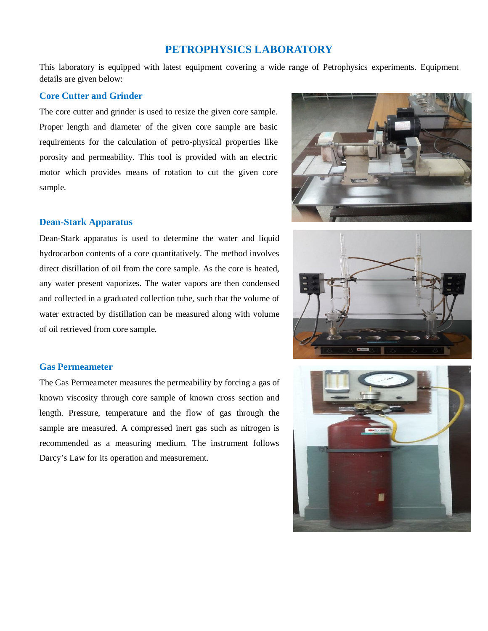# **PETROPHYSICS LABORATORY**

This laboratory is equipped with latest equipment covering a wide range of Petrophysics experiments. Equipment details are given below:

## **Core Cutter and Grinder**

The core cutter and grinder is used to resize the given core sample. Proper length and diameter of the given core sample are basic requirements for the calculation of petro-physical properties like porosity and permeability. This tool is provided with an electric motor which provides means of rotation to cut the given core sample.

# **Dean-Stark Apparatus**

Dean-Stark apparatus is used to determine the water and liquid hydrocarbon contents of a core quantitatively. The method involves direct distillation of oil from the core sample. As the core is heated, any water present vaporizes. The water vapors are then condensed and collected in a graduated collection tube, such that the volume of water extracted by distillation can be measured along with volume of oil retrieved from core sample.

#### **Gas Permeameter**

The Gas Permeameter measures the permeability by forcing a gas of known viscosity through core sample of known cross section and length. Pressure, temperature and the flow of gas through the sample are measured. A compressed inert gas such as nitrogen is recommended as a measuring medium. The instrument follows Darcy's Law for its operation and measurement.